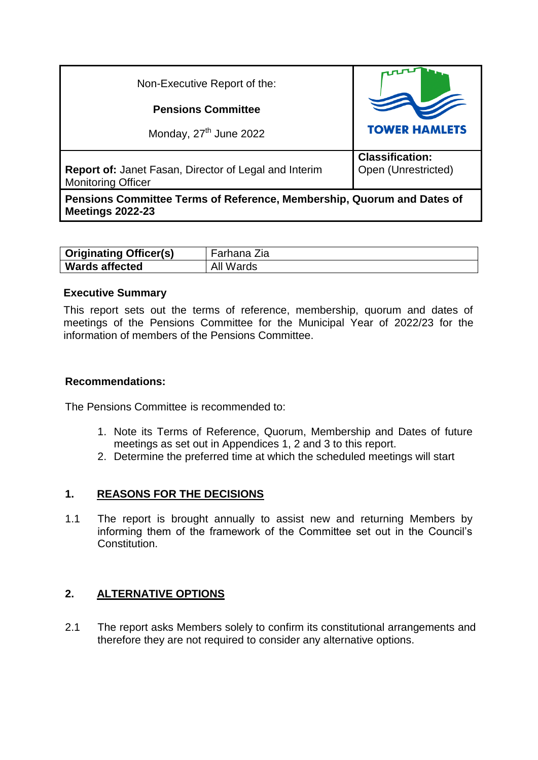| Non-Executive Report of the:                                                                      |                                               |
|---------------------------------------------------------------------------------------------------|-----------------------------------------------|
| <b>Pensions Committee</b>                                                                         |                                               |
| Monday, 27 <sup>th</sup> June 2022                                                                | <b>TOWER HAMLETS</b>                          |
| <b>Report of: Janet Fasan, Director of Legal and Interim</b><br><b>Monitoring Officer</b>         | <b>Classification:</b><br>Open (Unrestricted) |
| Pensions Committee Terms of Reference, Membership, Quorum and Dates of<br><b>Meetings 2022-23</b> |                                               |

| <b>Originating Officer(s)</b> | Sarhana Zia |
|-------------------------------|-------------|
| <b>Wards affected</b>         | Wards       |

### **Executive Summary**

This report sets out the terms of reference, membership, quorum and dates of meetings of the Pensions Committee for the Municipal Year of 2022/23 for the information of members of the Pensions Committee.

### **Recommendations:**

The Pensions Committee is recommended to:

- 1. Note its Terms of Reference, Quorum, Membership and Dates of future meetings as set out in Appendices 1, 2 and 3 to this report.
- 2. Determine the preferred time at which the scheduled meetings will start

# **1. REASONS FOR THE DECISIONS**

1.1 The report is brought annually to assist new and returning Members by informing them of the framework of the Committee set out in the Council's Constitution.

# **2. ALTERNATIVE OPTIONS**

2.1 The report asks Members solely to confirm its constitutional arrangements and therefore they are not required to consider any alternative options.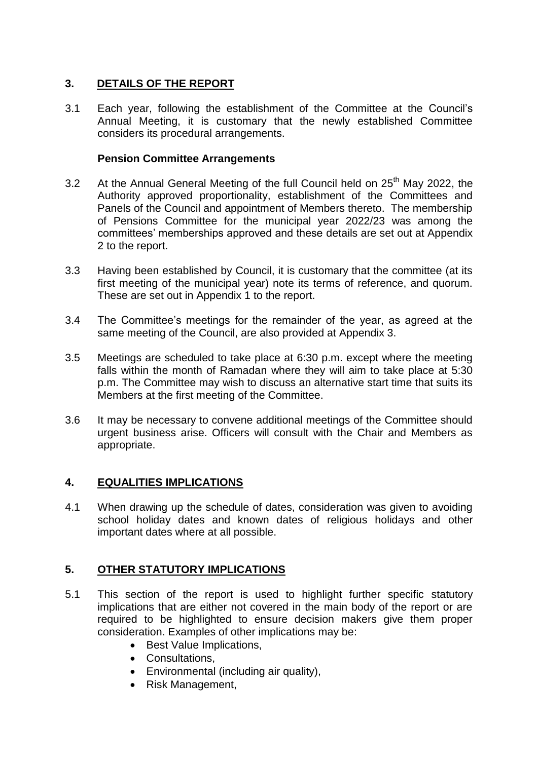# **3. DETAILS OF THE REPORT**

3.1 Each year, following the establishment of the Committee at the Council's Annual Meeting, it is customary that the newly established Committee considers its procedural arrangements.

### **Pension Committee Arrangements**

- 3.2 At the Annual General Meeting of the full Council held on  $25<sup>th</sup>$  May 2022, the Authority approved proportionality, establishment of the Committees and Panels of the Council and appointment of Members thereto. The membership of Pensions Committee for the municipal year 2022/23 was among the committees' memberships approved and these details are set out at Appendix 2 to the report.
- 3.3 Having been established by Council, it is customary that the committee (at its first meeting of the municipal year) note its terms of reference, and quorum. These are set out in Appendix 1 to the report.
- 3.4 The Committee's meetings for the remainder of the year, as agreed at the same meeting of the Council, are also provided at Appendix 3.
- 3.5 Meetings are scheduled to take place at 6:30 p.m. except where the meeting falls within the month of Ramadan where they will aim to take place at 5:30 p.m. The Committee may wish to discuss an alternative start time that suits its Members at the first meeting of the Committee.
- 3.6 It may be necessary to convene additional meetings of the Committee should urgent business arise. Officers will consult with the Chair and Members as appropriate.

# **4. EQUALITIES IMPLICATIONS**

4.1 When drawing up the schedule of dates, consideration was given to avoiding school holiday dates and known dates of religious holidays and other important dates where at all possible.

# **5. OTHER STATUTORY IMPLICATIONS**

- 5.1 This section of the report is used to highlight further specific statutory implications that are either not covered in the main body of the report or are required to be highlighted to ensure decision makers give them proper consideration. Examples of other implications may be:
	- Best Value Implications,
	- Consultations.
	- Environmental (including air quality),
	- Risk Management,